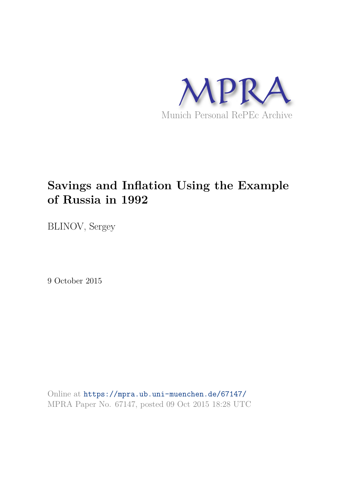

# **Savings and Inflation Using the Example of Russia in 1992**

BLINOV, Sergey

9 October 2015

Online at https://mpra.ub.uni-muenchen.de/67147/ MPRA Paper No. 67147, posted 09 Oct 2015 18:28 UTC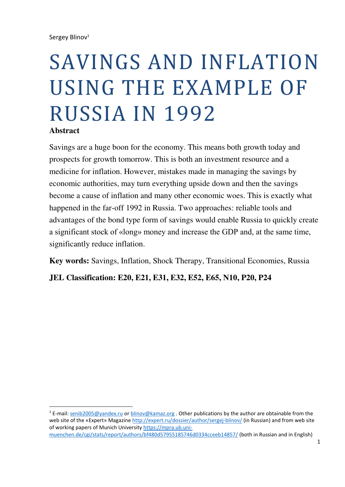# SAVINGS AND INFLATION USING THE EXAMPLE OF RUSSIA IN 1992

### **Abstract**

<u>.</u>

Savings are a huge boon for the economy. This means both growth today and prospects for growth tomorrow. This is both an investment resource and a medicine for inflation. However, mistakes made in managing the savings by economic authorities, may turn everything upside down and then the savings become a cause of inflation and many other economic woes. This is exactly what happened in the far-off 1992 in Russia. Two approaches: reliable tools and advantages of the bond type form of savings would enable Russia to quickly create a significant stock of «long» money and increase the GDP and, at the same time, significantly reduce inflation.

**Key words:** Savings, Inflation, Shock Therapy, Transitional Economies, Russia

**JEL Classification: E20, E21, E31, E32, E52, E65, N10, P20, P24**

<sup>&</sup>lt;sup>1</sup> E-mail: [senib2005@yandex.ru](mailto:senib2005@yandex.ru) or [blinov@kamaz.org](mailto:blinov@kamaz.org) . Other publications by the author are obtainable from the web site of the «Expert» Magazin[e http://expert.ru/dossier/author/sergej-blinov/](http://expert.ru/dossier/author/sergej-blinov/) (in Russian) and from web site of working papers of Munich Universit[y https://mpra.ub.uni](https://mpra.ub.uni-muenchen.de/cgi/stats/report/authors/bf480d57955185746d0334cceeb14857/)[muenchen.de/cgi/stats/report/authors/bf480d57955185746d0334cceeb14857/](https://mpra.ub.uni-muenchen.de/cgi/stats/report/authors/bf480d57955185746d0334cceeb14857/) (both in Russian and in English)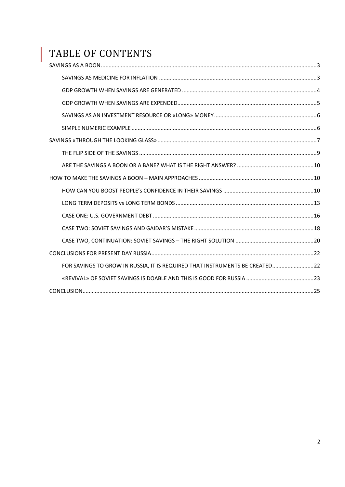# TABLE OF CONTENTS

| FOR SAVINGS TO GROW IN RUSSIA, IT IS REQUIRED THAT INSTRUMENTS BE CREATED22 |  |
|-----------------------------------------------------------------------------|--|
|                                                                             |  |
|                                                                             |  |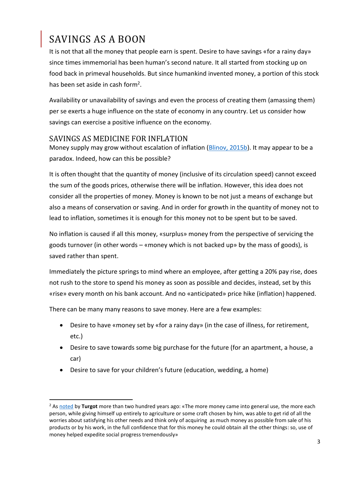# <span id="page-3-0"></span>SAVINGS AS A BOON

<u>.</u>

It is not that all the money that people earn is spent. Desire to have savings «for a rainy day» since times immemorial has been human's second nature. It all started from stocking up on food back in primeval households. But since humankind invented money, a portion of this stock has been set aside in cash form<sup>2</sup>.

Availability or unavailability of savings and even the process of creating them (amassing them) per se exerts a huge influence on the state of economy in any country. Let us consider how savings can exercise a positive influence on the economy.

### <span id="page-3-1"></span>SAVINGS AS MEDICINE FOR INFLATION

Money supply may grow without escalation of inflation [\(Blinov,](http://expert.ru/expert/2015/23/oshibka-doktora-kudrina/) 2015b). It may appear to be a paradox. Indeed, how can this be possible?

It is often thought that the quantity of money (inclusive of its circulation speed) cannot exceed the sum of the goods prices, otherwise there will be inflation. However, this idea does not consider all the properties of money. Money is known to be not just a means of exchange but also a means of conservation or saving. And in order for growth in the quantity of money not to lead to inflation, sometimes it is enough for this money not to be spent but to be saved.

No inflation is caused if all this money, «surplus» money from the perspective of servicing the goods turnover (in other words – «money which is not backed up» by the mass of goods), is saved rather than spent.

Immediately the picture springs to mind where an employee, after getting a 20% pay rise, does not rush to the store to spend his money as soon as possible and decides, instead, set by this «rise» every month on his bank account. And no «anticipated» price hike (inflation) happened.

There can be many many reasons to save money. Here are a few examples:

- Desire to have «money set by «for a rainy day» (in the case of illness, for retirement, etc.)
- Desire to save towards some big purchase for the future (for an apartment, a house, a car)
- Desire to save for your children's future (education, wedding, a home)

<sup>2</sup> As [noted](http://www.mann-ivanov-ferber.ru/assets/files/bookparts/finansisty_kotorye_izmenili_mir/Finansisty_2.pdf) by **Turgot** more than two hundred years ago: «The more money came into general use, the more each person, while giving himself up entirely to agriculture or some craft chosen by him, was able to get rid of all the worries about satisfying his other needs and think only of acquiring as much money as possible from sale of his products or by his work, in the full confidence that for this money he could obtain all the other things: so, use of money helped expedite social progress tremendously»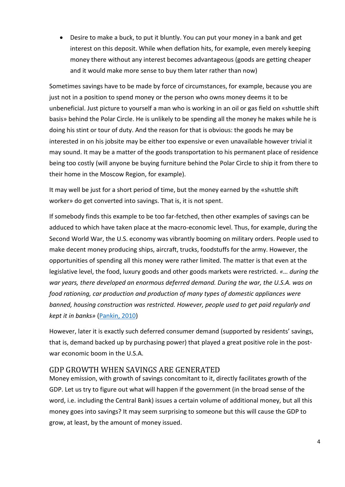Desire to make a buck, to put it bluntly. You can put your money in a bank and get interest on this deposit. While when deflation hits, for example, even merely keeping money there without any interest becomes advantageous (goods are getting cheaper and it would make more sense to buy them later rather than now)

Sometimes savings have to be made by force of circumstances, for example, because you are just not in a position to spend money or the person who owns money deems it to be unbeneficial. Just picture to yourself a man who is working in an oil or gas field on «shuttle shift basis» behind the Polar Circle. He is unlikely to be spending all the money he makes while he is doing his stint or tour of duty. And the reason for that is obvious: the goods he may be interested in on his jobsite may be either too expensive or even unavailable however trivial it may sound. It may be a matter of the goods transportation to his permanent place of residence being too costly (will anyone be buying furniture behind the Polar Circle to ship it from there to their home in the Moscow Region, for example).

It may well be just for a short period of time, but the money earned by the «shuttle shift worker» do get converted into savings. That is, it is not spent.

If somebody finds this example to be too far-fetched, then other examples of savings can be adduced to which have taken place at the macro-economic level. Thus, for example, during the Second World War, the U.S. economy was vibrantly booming on military orders. People used to make decent money producing ships, aircraft, trucks, foodstuffs for the army. However, the opportunities of spending all this money were rather limited. The matter is that even at the legislative level, the food, luxury goods and other goods markets were restricted. *«… during the war years, there developed an enormous deferred demand. During the war, the U.S.A. was on food rationing, car production and production of many types of domestic appliances were banned, housing construction was restricted. However, people used to get paid regularly and kept it in banks»* [\(Pankin,](http://expert.ru/russian_reporter/2010/16/shlykov/) 2010)

However, later it is exactly such deferred consumer demand (supported by residents' savings, that is, demand backed up by purchasing power) that played a great positive role in the postwar economic boom in the U.S.A.

### <span id="page-4-0"></span>GDP GROWTH WHEN SAVINGS ARE GENERATED

Money emission, with growth of savings concomitant to it, directly facilitates growth of the GDP. Let us try to figure out what will happen if the government (in the broad sense of the word, i.е. including the Central Bank) issues a certain volume of additional money, but all this money goes into savings? It may seem surprising to someone but this will cause the GDP to grow, at least, by the amount of money issued.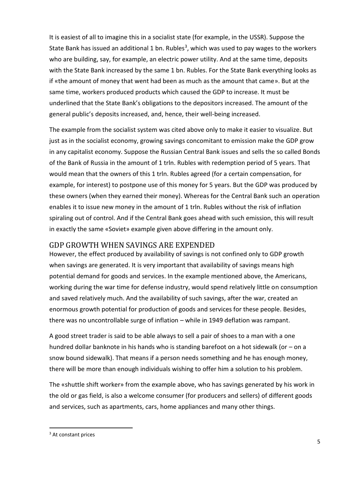It is easiest of all to imagine this in a socialist state (for example, in the USSR). Suppose the State Bank has issued an additional 1 bn. Rubles<sup>3</sup>, which was used to pay wages to the workers who are building, say, for example, an electric power utility. And at the same time, deposits with the State Bank increased by the same 1 bn. Rubles. For the State Bank everything looks as if «the amount of money that went had been as much as the amount that came». But at the same time, workers produced products which caused the GDP to increase. It must be underlined that the State Bank's obligations to the depositors increased. The amount of the general public's deposits increased, and, hence, their well-being increased.

The example from the socialist system was cited above only to make it easier to visualize. But just as in the socialist economy, growing savings concomitant to emission make the GDP grow in any capitalist economy. Suppose the Russian Central Bank issues and sells the so called Bonds of the Bank of Russia in the amount of 1 trln. Rubles with redemption period of 5 years. That would mean that the owners of this 1 trln. Rubles agreed (for a certain compensation, for example, for interest) to postpone use of this money for 5 years. But the GDP was produced by these owners (when they earned their money). Whereas for the Central Bank such an operation enables it to issue new money in the amount of 1 trln. Rubles without the risk of inflation spiraling out of control. And if the Central Bank goes ahead with such emission, this will result in exactly the same «Soviet» example given above differing in the amount only.

#### <span id="page-5-0"></span>GDP GROWTH WHEN SAVINGS ARE EXPENDED

However, the effect produced by availability of savings is not confined only to GDP growth when savings are generated. It is very important that availability of savings means high potential demand for goods and services. In the example mentioned above, the Americans, working during the war time for defense industry, would spend relatively little on consumption and saved relatively much. And the availability of such savings, after the war, created an enormous growth potential for production of goods and services for these people. Besides, there was no uncontrollable surge of inflation – while in 1949 deflation was rampant.

A good street trader is said to be able always to sell a pair of shoes to a man with a one hundred dollar banknote in his hands who is standing barefoot on a hot sidewalk (or – on a snow bound sidewalk). That means if a person needs something and he has enough money, there will be more than enough individuals wishing to offer him a solution to his problem.

The «shuttle shift worker» from the example above, who has savings generated by his work in the old or gas field, is also a welcome consumer (for producers and sellers) of different goods and services, such as apartments, cars, home appliances and many other things.

<sup>&</sup>lt;sup>3</sup> At constant prices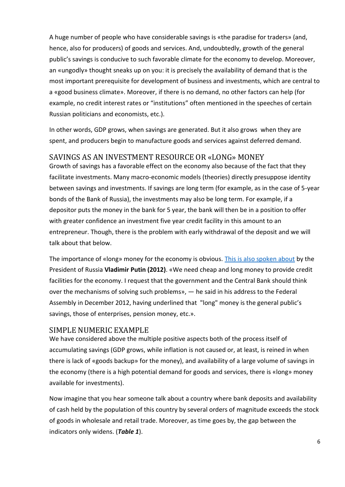A huge number of people who have considerable savings is «the paradise for traders» (and, hence, also for producers) of goods and services. And, undoubtedly, growth of the general public's savings is conducive to such favorable climate for the economy to develop. Moreover, an «ungodly» thought sneaks up on you: it is precisely the availability of demand that is the most important prerequisite for development of business and investments, which are central to a «good business climate». Moreover, if there is no demand, no other factors can help (for example, no credit interest rates or "institutions" often mentioned in the speeches of certain Russian politicians and economists, etc.).

In other words, GDP grows, when savings are generated. But it also grows when they are spent, and producers begin to manufacture goods and services against deferred demand.

### <span id="page-6-0"></span>SAVINGS AS AN INVESTMENT RESOURCE OR «LONG» MONEY

Growth of savings has a favorable effect on the economy also because of the fact that they facilitate investments. Many macro-economic models (theories) directly presuppose identity between savings and investments. If savings are long term (for example, as in the case of 5-year bonds of the Bank of Russia), the investments may also be long term. For example, if a depositor puts the money in the bank for 5 year, the bank will then be in a position to offer with greater confidence an investment five year credit facility in this amount to an entrepreneur. Though, there is the problem with early withdrawal of the deposit and we will talk about that below.

The importance of «long» money for the economy is obvious. [This is also spoken about](http://www.forbes.ru/news/230860-poslanie-federalnomu-sobraniyu-10-glavnyh-tezisov-putina) by the President of Russia **Vladimir Putin (2012)**. «We need cheap and long money to provide credit facilities for the economy. I request that the government and the Central Bank should think over the mechanisms of solving such problems», — he said in his address to the Federal Assembly in December 2012, having underlined that "long" money is the general public's savings, those of enterprises, pension money, etc.».

### <span id="page-6-1"></span>SIMPLE NUMERIC EXAMPLE

We have considered above the multiple positive aspects both of the process itself of accumulating savings (GDP grows, while inflation is not caused or, at least, is reined in when there is lack of «goods backup» for the money), and availability of a large volume of savings in the economy (there is a high potential demand for goods and services, there is «long» money available for investments).

Now imagine that you hear someone talk about a country where bank deposits and availability of cash held by the population of this country by several orders of magnitude exceeds the stock of goods in wholesale and retail trade. Moreover, as time goes by, the gap between the indicators only widens. (*Table 1*).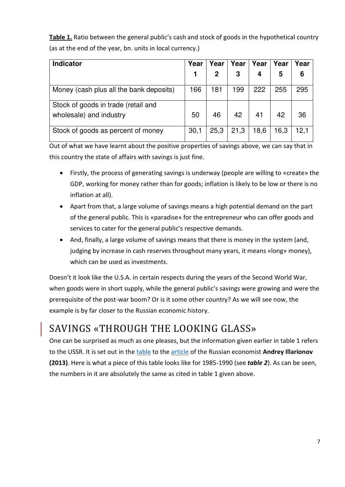**Table 1.** Ratio between the general public's cash and stock of goods in the hypothetical country (as at the end of the year, bn. units in local currency.)

| <b>Indicator</b>                        | Year | Year         | Year | Year | Year | Year |
|-----------------------------------------|------|--------------|------|------|------|------|
|                                         |      | $\mathbf{2}$ | 3    |      | 5    | 6    |
| Money (cash plus all the bank deposits) | 166  | 181          | 199  | 222  | 255  | 295  |
| Stock of goods in trade (retail and     |      |              |      |      |      |      |
| wholesale) and industry                 | 50   | 46           | 42   | 41   | 42   | 36   |
| Stock of goods as percent of money      | 30,1 | 25,3         | 21,3 | 18,6 | 16,3 | 12,1 |

Out of what we have learnt about the positive properties of savings above, we can say that in this country the state of affairs with savings is just fine.

- Firstly, the process of generating savings is underway (people are willing to «create» the GDP, working for money rather than for goods; inflation is likely to be low or there is no inflation at all).
- Apart from that, a large volume of savings means a high potential demand on the part of the general public. This is «paradise» for the entrepreneur who can offer goods and services to cater for the general public's respective demands.
- And, finally, a large volume of savings means that there is money in the system (and, judging by increase in cash reserves throughout many years, it means «long» money), which can be used as investments.

Doesn't it look like the U.S.A. in certain respects during the years of the Second World War, when goods were in short supply, while the general public's savings were growing and were the prerequisite of the post-war boom? Or is it some other country? As we will see now, the example is by far closer to the Russian economic history.

### <span id="page-7-0"></span>SAVINGS «THROUGH THE LOOKING GLASS»

One can be surprised as much as one pleases, but the information given earlier in table 1 refers to the USSR. It is set out in the [table](http://www.forbes.ru/sites/default/files/Sootnoshenie_denezhnyh_sredstv_naseleniya_i_tovarnyh_zapasov_v_Rossii.doc) to the [article](http://www.forbes.ru/mneniya-column/makroekonomika/238749-gosudarstvo-v-dolgu-kak-unichtozhili-sberezheniya-grazhdan-v-sb) of the Russian economist **Andrey Illarionov (2013)**. Here is what a piece of this table looks like for 1985-1990 (see *table 2*). As can be seen, the numbers in it are absolutely the same as cited in table 1 given above.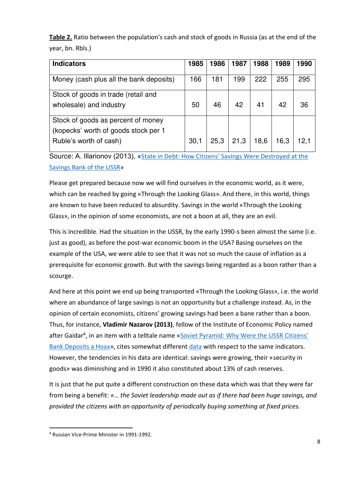**Table 2.** Ratio between the population's cash and stock of goods in Russia (as at the end of the year, bn. Rbls.)

| <b>Indicators</b>                                                                                    | 1985 | 1986 | 1987 | 1988 | 1989 | 1990 |
|------------------------------------------------------------------------------------------------------|------|------|------|------|------|------|
| Money (cash plus all the bank deposits)                                                              | 166  | 181  | 199  | 222  | 255  | 295  |
| Stock of goods in trade (retail and<br>wholesale) and industry                                       | 50   | 46   | 42   | 41   | 42   | 36   |
| Stock of goods as percent of money<br>(kopecks' worth of goods stock per 1<br>Ruble's worth of cash) | 30,1 | 25,3 | 21,3 | 18,6 | 16,3 | 12.1 |

Source: A. Illarionov (2013), «State in Debt: How Citizens' Savings Were Destroyed at the [Savings Bank of the USSR](http://www.forbes.ru/mneniya-column/makroekonomika/238749-gosudarstvo-v-dolgu-kak-unichtozhili-sberezheniya-grazhdan-v-sb)»

Please get prepared because now we will find ourselves in the economic world, as it were, which can be reached by going «Through the Looking Glass». And there, in this world, things are known to have been reduced to absurdity. Savings in the world «Through the Looking Glass», in the opinion of some economists, are not a boon at all, they are an evil.

This is incredible. Had the situation in the USSR, by the early 1990-s been almost the same (i.е. just as good), as before the post-war economic boom in the USA? Basing ourselves on the example of the USA, we were able to see that it was not so much the cause of inflation as a prerequisite for economic growth. But with the savings being regarded as a boon rather than a scourge.

And here at this point we end up being transported «Through the Looking Glass», i.e. the world where an abundance of large savings is not an opportunity but a challenge instead. As, in the opinion of certain economists, citizens' growing savings had been a bane rather than a boon. Thus, for instance, **Vladimir Nazarov (2013)**, fellow of the Institute of Economic Policy named after Gaidar<sup>4</sup>, in an item with a telltale name «Soviet Pyramid: Why Were the USSR Citizens' [Bank Deposits a H](http://www.forbes.ru/mneniya-column/istoriya/234847-sovetskaya-piramida-pochemu-vklady-grazhdan-sssr-byli-fiktsiei)oax», cites somewhat different [data](http://www.forbes.ru/sites/default/files/Tablica_vklady.doc) with respect to the same indicators. However, the tendencies in his data are identical: savings were growing, their «security in goods» was diminishing and in 1990 it also constituted about 13% of cash reserves.

It is just that he put quite a different construction on these data which was that they were far from being a benefit: *«… the Soviet leadership made out as if there had been huge savings, and provided the citizens with an opportunity of periodically buying something at fixed prices.* 

<sup>4</sup> Russian Vice-Prime Minister in 1991-1992.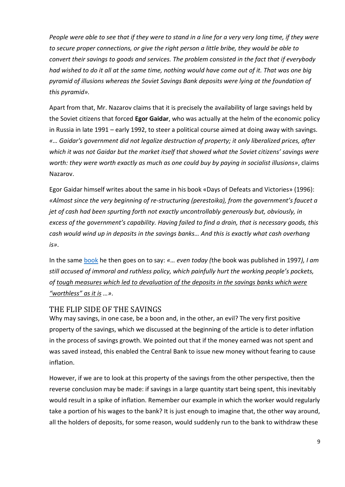*People were able to see that if they were to stand in a line for a very very long time, if they were to secure proper connections, or give the right person a little bribe, they would be able to convert their savings to goods and services. The problem consisted in the fact that if everybody had wished to do it all at the same time, nothing would have come out of it. That was one big pyramid of illusions whereas the Soviet Savings Bank deposits were lying at the foundation of this pyramid».* 

Apart from that, Mr. Nazarov claims that it is precisely the availability of large savings held by the Soviet citizens that forced **Egor Gaidar**, who was actually at the helm of the economic policy in Russia in late 1991 – early 1992, to steer a political course aimed at doing away with savings. *«… Gaidar's government did not legalize destruction of property; it only liberalized prices, after which it was not Gaidar but the market itself that showed what the Soviet citizens' savings were worth: they were worth exactly as much as one could buy by paying in socialist illusions»*, claims Nazarov.

Egor Gaidar himself writes about the same in his book «Days of Defeats and Victories» (1996): *«Almost since the very beginning of re-structuring (perestoika), from the government's faucet a jet of cash had been spurting forth not exactly uncontrollably generously but, obviously, in excess of the government's capability. Having failed to find a drain, that is necessary goods, this cash would wind up in deposits in the savings banks… And this is exactly what cash overhang is»*.

In the same [book](http://www.iep.ru/files/persona/gaidar/Gosudarstvo/7.pdf) he then goes on to say: *«… even today (*the book was published in 1997*), I am still accused of immoral and ruthless policy, which painfully hurt the working people's pockets, of tough measures which led to devaluation of the deposits in the savings banks which were "worthless" as it is …»*.

### <span id="page-9-0"></span>THE FLIP SIDE OF THE SAVINGS

Why may savings, in one case, be a boon and, in the other, an evil? The very first positive property of the savings, which we discussed at the beginning of the article is to deter inflation in the process of savings growth. We pointed out that if the money earned was not spent and was saved instead, this enabled the Central Bank to issue new money without fearing to cause inflation.

However, if we are to look at this property of the savings from the other perspective, then the reverse conclusion may be made: if savings in a large quantity start being spent, this inevitably would result in a spike of inflation. Remember our example in which the worker would regularly take a portion of his wages to the bank? It is just enough to imagine that, the other way around, all the holders of deposits, for some reason, would suddenly run to the bank to withdraw these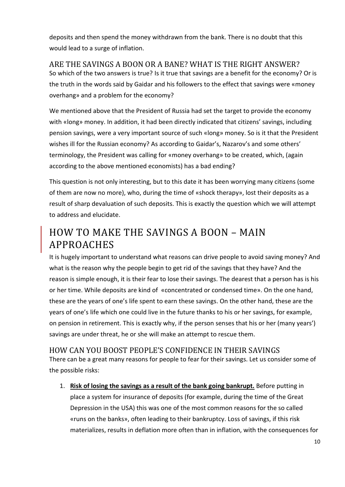deposits and then spend the money withdrawn from the bank. There is no doubt that this would lead to a surge of inflation.

<span id="page-10-0"></span>ARE THE SAVINGS A BOON OR A BANE? WHAT IS THE RIGHT ANSWER? So which of the two answers is true? Is it true that savings are a benefit for the economy? Or is the truth in the words said by Gaidar and his followers to the effect that savings were «money overhang» and a problem for the economy?

We mentioned above that the President of Russia had set the target to provide the economy with «long» money. In addition, it had been directly indicated that citizens' savings, including pension savings, were a very important source of such «long» money. So is it that the President wishes ill for the Russian economy? As according to Gaidar's, Nazarov's and some others' terminology, the President was calling for «money overhang» to be created, which, (again according to the above mentioned economists) has a bad ending?

This question is not only interesting, but to this date it has been worrying many citizens (some of them are now no more), who, during the time of «shock therapy», lost their deposits as a result of sharp devaluation of such deposits. This is exactly the question which we will attempt to address and elucidate.

### <span id="page-10-1"></span>HOW TO MAKE THE SAVINGS A BOON – MAIN APPROACHES

It is hugely important to understand what reasons can drive people to avoid saving money? And what is the reason why the people begin to get rid of the savings that they have? And the reason is simple enough, it is their fear to lose their savings. The dearest that a person has is his or her time. While deposits are kind of «concentrated or condensed time». On the one hand, these are the years of one's life spent to earn these savings. On the other hand, these are the years of one's life which one could live in the future thanks to his or her savings, for example, on pension in retirement. This is exactly why, if the person senses that his or her (many years') savings are under threat, he or she will make an attempt to rescue them.

### <span id="page-10-2"></span>HOW CAN YOU BOOST PEOPLE'S CONFIDENCE IN THEIR SAVINGS

There can be a great many reasons for people to fear for their savings. Let us consider some of the possible risks:

1. **Risk of losing the savings as a result of the bank going bankrupt.** Before putting in place a system for insurance of deposits (for example, during the time of the Great Depression in the USA) this was one of the most common reasons for the so called «runs on the banks», often leading to their bankruptcy. Loss of savings, if this risk materializes, results in deflation more often than in inflation, with the consequences for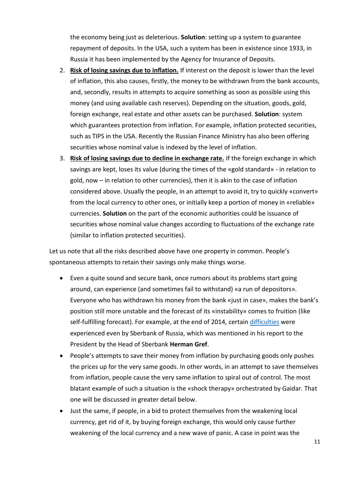the economy being just as deleterious. **Solution**: setting up a system to guarantee repayment of deposits. In the USA, such a system has been in existence since 1933, in Russia it has been implemented by the Agency for Insurance of Deposits.

- 2. **Risk of losing savings due to inflation.** If interest on the deposit is lower than the level of inflation, this also causes, firstly, the money to be withdrawn from the bank accounts, and, secondly, results in attempts to acquire something as soon as possible using this money (and using available cash reserves). Depending on the situation, goods, gold, foreign exchange, real estate and other assets can be purchased. **Solution**: system which guarantees protection from inflation. For example, inflation protected securities, such as TIPS in the USA. Recently the Russian Finance Ministry has also been offering securities whose nominal value is indexed by the level of inflation.
- 3. **Risk of losing savings due to decline in exchange rate.** If the foreign exchange in which savings are kept, loses its value (during the times of the «gold standard» - in relation to gold, now – in relation to other currencies), then it is akin to the case of inflation considered above. Usually the people, in an attempt to avoid it, try to quickly «convert» from the local currency to other ones, or initially keep a portion of money in «reliable» currencies. **Solution** on the part of the economic authorities could be issuance of securities whose nominal value changes according to fluctuations of the exchange rate (similar to inflation protected securities).

Let us note that all the risks described above have one property in common. People's spontaneous attempts to retain their savings only make things worse.

- Even a quite sound and secure bank, once rumors about its problems start going around, can experience (and sometimes fail to withstand) «a run of depositors». Everyone who has withdrawn his money from the bank «just in case», makes the bank's position still more unstable and the forecast of its «instability» comes to fruition (like self-fulfilling forecast). For example, at the end of 2014, certain [difficulties](http://www.kremlin.ru/events/president/news/50079) were experienced even by Sberbank of Russia, which was mentioned in his report to the President by the Head of Sberbank **Herman Gref**.
- People's attempts to save their money from inflation by purchasing goods only pushes the prices up for the very same goods. In other words, in an attempt to save themselves from inflation, people cause the very same inflation to spiral out of control. The most blatant example of such a situation is the «shock therapy» orchestrated by Gaidar. That one will be discussed in greater detail below.
- Just the same, if people, in a bid to protect themselves from the weakening local currency, get rid of it, by buying foreign exchange, this would only cause further weakening of the local currency and a new wave of panic. A case in point was the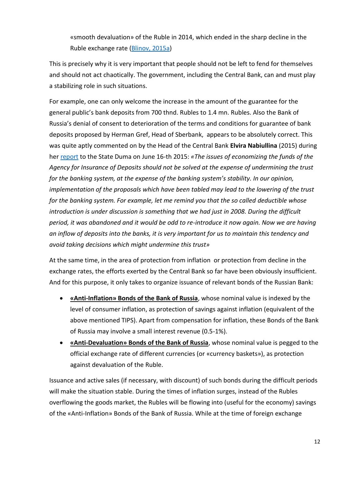«smooth devaluation» of the Ruble in 2014, which ended in the sharp decline in the Ruble exchange rate [\(Blinov, 2015a\)](http://expert.ru/2015/01/3/grabli-plavnoj-devalvatsii/)

This is precisely why it is very important that people should not be left to fend for themselves and should not act chaotically. The government, including the Central Bank, can and must play a stabilizing role in such situations.

For example, one can only welcome the increase in the amount of the guarantee for the general public's bank deposits from 700 thnd. Rubles to 1.4 mn. Rubles. Also the Bank of Russia's denial of consent to deterioration of the terms and conditions for guarantee of bank deposits proposed by Herman Gref, Head of Sberbank, appears to be absolutely correct. This was quite aptly commented on by the Head of the Central Bank **Elvira Nabiullina** (2015) during her [report](http://transcript.duma.gov.ru/node/4307/) to the State Duma on June 16-th 2015: *«The issues of economizing the funds of the Agency for Insurance of Deposits should not be solved at the expense of undermining the trust for the banking system, at the expense of the banking system's stability. In our opinion, implementation of the proposals which have been tabled may lead to the lowering of the trust for the banking system. For example, let me remind you that the so called deductible whose introduction is under discussion is something that we had just in 2008. During the difficult period, it was abandoned and it would be odd to re-introduce it now again. Now we are having an inflow of deposits into the banks, it is very important for us to maintain this tendency and avoid taking decisions which might undermine this trust»*

At the same time, in the area of protection from inflation or protection from decline in the exchange rates, the efforts exerted by the Central Bank so far have been obviously insufficient. And for this purpose, it only takes to organize issuance of relevant bonds of the Russian Bank:

- **«Anti-Inflation» Bonds of the Bank of Russia**, whose nominal value is indexed by the level of consumer inflation, as protection of savings against inflation (equivalent of the above mentioned TIPS). Apart from compensation for inflation, these Bonds of the Bank of Russia may involve a small interest revenue (0.5-1%).
- **•** «**Anti-Devaluation**» **Bonds of the Bank of Russia**, whose nominal value is pegged to the official exchange rate of different currencies (or «currency baskets»), as protection against devaluation of the Ruble.

Issuance and active sales (if necessary, with discount) of such bonds during the difficult periods will make the situation stable. During the times of inflation surges, instead of the Rubles overflowing the goods market, the Rubles will be flowing into (useful for the economy) savings of the «Anti-Inflation» Bonds of the Bank of Russia. While at the time of foreign exchange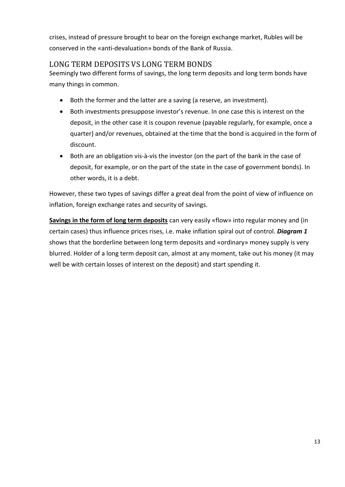crises, instead of pressure brought to bear on the foreign exchange market, Rubles will be conserved in the «anti-devaluation» bonds of the Bank of Russia.

### <span id="page-13-0"></span>LONG TERM DEPOSITS VS LONG TERM BONDS

Seemingly two different forms of savings, the long term deposits and long term bonds have many things in common.

- Both the former and the latter are a saving (a reserve, an investment).
- Both investments presuppose investor's revenue. In one case this is interest on the deposit, in the other case it is coupon revenue (payable regularly, for example, once a quarter) and/or revenues, obtained at the time that the bond is acquired in the form of discount.
- Both are an obligation vis-à-vis the investor (on the part of the bank in the case of deposit, for example, or on the part of the state in the case of government bonds). In other words, it is a debt.

However, these two types of savings differ a great deal from the point of view of influence on inflation, foreign exchange rates and security of savings.

**Savings in the form of long term deposits** can very easily «flow» into regular money and (in certain cases) thus influence prices rises, i.e. make inflation spiral out of control. *Diagram 1* shows that the borderline between long term deposits and «ordinary» money supply is very blurred. Holder of a long term deposit can, almost at any moment, take out his money (it may well be with certain losses of interest on the deposit) and start spending it.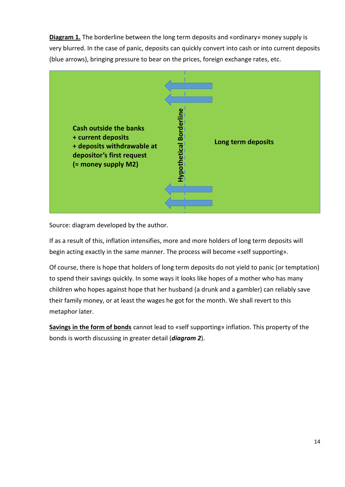**Diagram 1.** The borderline between the long term deposits and «ordinary» money supply is very blurred. In the case of panic, deposits can quickly convert into cash or into current deposits (blue arrows), bringing pressure to bear on the prices, foreign exchange rates, etc.



Source: diagram developed by the author.

If as a result of this, inflation intensifies, more and more holders of long term deposits will begin acting exactly in the same manner. The process will become «self supporting».

Of course, there is hope that holders of long term deposits do not yield to panic (or temptation) to spend their savings quickly. In some ways it looks like hopes of a mother who has many children who hopes against hope that her husband (a drunk and a gambler) can reliably save their family money, or at least the wages he got for the month. We shall revert to this metaphor later.

**Savings in the form of bonds** cannot lead to «self supporting» inflation. This property of the bonds is worth discussing in greater detail (*diagram 2*).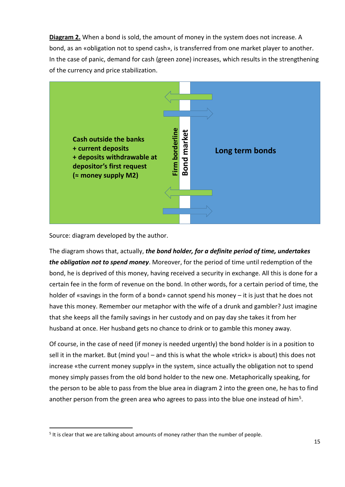**Diagram 2.** When a bond is sold, the amount of money in the system does not increase. A bond, as an «obligation not to spend cash», is transferred from one market player to another. In the case of panic, demand for cash (green zone) increases, which results in the strengthening of the currency and price stabilization.



Source: diagram developed by the author.

<u>.</u>

The diagram shows that, actually, *the bond holder, for a definite period of time, undertakes the obligation not to spend money*. Moreover, for the period of time until redemption of the bond, he is deprived of this money, having received a security in exchange. All this is done for a certain fee in the form of revenue on the bond. In other words, for a certain period of time, the holder of «savings in the form of a bond» cannot spend his money – it is just that he does not have this money. Remember our metaphor with the wife of a drunk and gambler? Just imagine that she keeps all the family savings in her custody and on pay day she takes it from her husband at once. Her husband gets no chance to drink or to gamble this money away.

Of course, in the case of need (if money is needed urgently) the bond holder is in a position to sell it in the market. But (mind you! – and this is what the whole «trick» is about) this does not increase «the current money supply» in the system, since actually the obligation not to spend money simply passes from the old bond holder to the new one. Metaphorically speaking, for the person to be able to pass from the blue area in diagram 2 into the green one, he has to find another person from the green area who agrees to pass into the blue one instead of him<sup>5</sup>.

<sup>&</sup>lt;sup>5</sup> It is clear that we are talking about amounts of money rather than the number of people.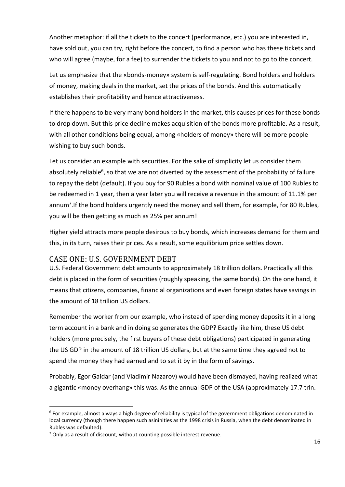Another metaphor: if all the tickets to the concert (performance, etc.) you are interested in, have sold out, you can try, right before the concert, to find a person who has these tickets and who will agree (maybe, for a fee) to surrender the tickets to you and not to go to the concert.

Let us emphasize that the «bonds-money» system is self-regulating. Bond holders and holders of money, making deals in the market, set the prices of the bonds. And this automatically establishes their profitability and hence attractiveness.

If there happens to be very many bond holders in the market, this causes prices for these bonds to drop down. But this price decline makes acquisition of the bonds more profitable. As a result, with all other conditions being equal, among «holders of money» there will be more people wishing to buy such bonds.

Let us consider an example with securities. For the sake of simplicity let us consider them absolutely reliable<sup>6</sup>, so that we are not diverted by the assessment of the probability of failure to repay the debt (default). If you buy for 90 Rubles a bond with nominal value of 100 Rubles to be redeemed in 1 year, then a year later you will receive a revenue in the amount of 11.1% per annum<sup>7</sup>. If the bond holders urgently need the money and sell them, for example, for 80 Rubles, you will be then getting as much as 25% per annum!

Higher yield attracts more people desirous to buy bonds, which increases demand for them and this, in its turn, raises their prices. As a result, some equilibrium price settles down.

### <span id="page-16-0"></span>CASE ONE: U.S. GOVERNMENT DEBT

U.S. Federal Government debt amounts to approximately 18 trillion dollars. Practically all this debt is placed in the form of securities (roughly speaking, the same bonds). On the one hand, it means that citizens, companies, financial organizations and even foreign states have savings in the amount of 18 trillion US dollars.

Remember the worker from our example, who instead of spending money deposits it in a long term account in a bank and in doing so generates the GDP? Exactly like him, these US debt holders (more precisely, the first buyers of these debt obligations) participated in generating the US GDP in the amount of 18 trillion US dollars, but at the same time they agreed not to spend the money they had earned and to set it by in the form of savings.

Probably, Egor Gaidar (and Vladimir Nazarov) would have been dismayed, having realized what a gigantic «money overhang» this was. As the annual GDP of the USA (approximately 17.7 trln.

<sup>&</sup>lt;sup>6</sup> For example, almost always a high degree of reliability is typical of the government obligations denominated in local currency (though there happen such asininities as the 1998 crisis in Russia, when the debt denominated in Rubles was defaulted).

<sup>&</sup>lt;sup>7</sup> Only as a result of discount, without counting possible interest revenue.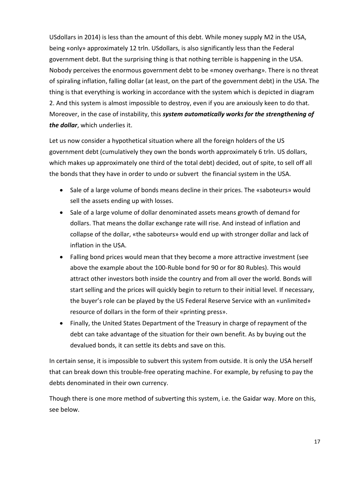USdollars in 2014) is less than the amount of this debt. While money supply М2 in the USA, being «only» approximately 12 trln. USdollars, is also significantly less than the Federal government debt. But the surprising thing is that nothing terrible is happening in the USA. Nobody perceives the enormous government debt to be «money overhang». There is no threat of spiraling inflation, falling dollar (at least, on the part of the government debt) in the USA. The thing is that everything is working in accordance with the system which is depicted in diagram 2. And this system is almost impossible to destroy, even if you are anxiously keen to do that. Moreover, in the case of instability, this *system automatically works for the strengthening of the dollar*, which underlies it.

Let us now consider a hypothetical situation where all the foreign holders of the US government debt (cumulatively they own the bonds worth approximately 6 trln. US dollars, which makes up approximately one third of the total debt) decided, out of spite, to sell off all the bonds that they have in order to undo or subvert the financial system in the USA.

- Sale of a large volume of bonds means decline in their prices. The «saboteurs» would sell the assets ending up with losses.
- Sale of a large volume of dollar denominated assets means growth of demand for dollars. That means the dollar exchange rate will rise. And instead of inflation and collapse of the dollar, «the saboteurs» would end up with stronger dollar and lack of inflation in the USA.
- Falling bond prices would mean that they become a more attractive investment (see above the example about the 100-Ruble bond for 90 or for 80 Rubles). This would attract other investors both inside the country and from all over the world. Bonds will start selling and the prices will quickly begin to return to their initial level. If necessary, the buyer's role can be played by the US Federal Reserve Service with an «unlimited» resource of dollars in the form of their «printing press».
- Finally, the United States Department of the Treasury in charge of repayment of the debt can take advantage of the situation for their own benefit. As by buying out the devalued bonds, it can settle its debts and save on this.

In certain sense, it is impossible to subvert this system from outside. It is only the USA herself that can break down this trouble-free operating machine. For example, by refusing to pay the debts denominated in their own currency.

Though there is one more method of subverting this system, i.e. the Gaidar way. More on this, see below.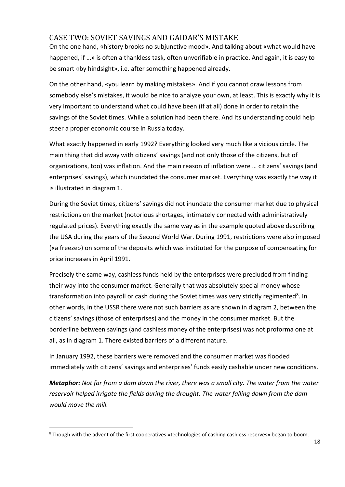### <span id="page-18-0"></span>CASE TWO: SOVIET SAVINGS AND GAIDAR'S MISTAKE

On the one hand, «history brooks no subjunctive mood». And talking about «what would have happened, if …» is often a thankless task, often unverifiable in practice. And again, it is easy to be smart «by hindsight», i.е. after something happened already.

On the other hand, «you learn by making mistakes». And if you cannot draw lessons from somebody else's mistakes, it would be nice to analyze your own, at least. This is exactly why it is very important to understand what could have been (if at all) done in order to retain the savings of the Soviet times. While a solution had been there. And its understanding could help steer a proper economic course in Russia today.

What exactly happened in early 1992? Everything looked very much like a vicious circle. The main thing that did away with citizens' savings (and not only those of the citizens, but of organizations, too) was inflation. And the main reason of inflation were … citizens' savings (and enterprises' savings), which inundated the consumer market. Everything was exactly the way it is illustrated in diagram 1.

During the Soviet times, citizens' savings did not inundate the consumer market due to physical restrictions on the market (notorious shortages, intimately connected with administratively regulated prices). Everything exactly the same way as in the example quoted above describing the USA during the years of the Second World War. During 1991, restrictions were also imposed («a freeze») on some of the deposits which was instituted for the purpose of compensating for price increases in April 1991.

Precisely the same way, cashless funds held by the enterprises were precluded from finding their way into the consumer market. Generally that was absolutely special money whose transformation into payroll or cash during the Soviet times was very strictly regimented<sup>8</sup>. In other words, in the USSR there were not such barriers as are shown in diagram 2, between the citizens' savings (those of enterprises) and the money in the consumer market. But the borderline between savings (and cashless money of the enterprises) was not proforma one at all, as in diagram 1. There existed barriers of a different nature.

In January 1992, these barriers were removed and the consumer market was flooded immediately with citizens' savings and enterprises' funds easily cashable under new conditions.

*Metaphor: Not far from a dam down the river, there was a small city. The water from the water reservoir helped irrigate the fields during the drought. The water falling down from the dam would move the mill.* 

<sup>&</sup>lt;sup>8</sup> Though with the advent of the first cooperatives «technologies of cashing cashless reserves» began to boom.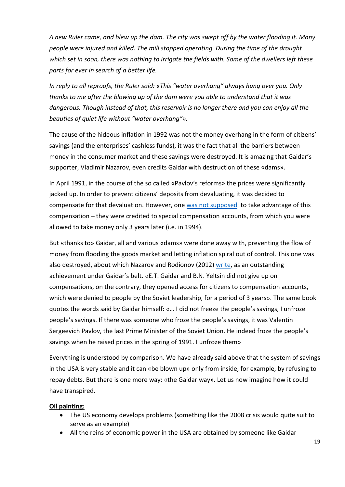*A new Ruler came, and blew up the dam. The city was swept off by the water flooding it. Many people were injured and killed. The mill stopped operating. During the time of the drought which set in soon, there was nothing to irrigate the fields with. Some of the dwellers left these parts for ever in search of a better life.* 

*In reply to all reproofs, the Ruler said: «This "water overhang" always hung over you. Only thanks to me after the blowing up of the dam were you able to understand that it was dangerous. Though instead of that, this reservoir is no longer there and you can enjoy all the beauties of quiet life without "water overhang"».* 

The cause of the hideous inflation in 1992 was not the money overhang in the form of citizens' savings (and the enterprises' cashless funds), it was the fact that all the barriers between money in the consumer market and these savings were destroyed. It is amazing that Gaidar's supporter, Vladimir Nazarov, even credits Gaidar with destruction of these «dams».

In April 1991, in the course of the so called «Pavlov's reforms» the prices were significantly jacked up. In order to prevent citizens' deposits from devaluating, it was decided to compensate for that devaluation. However, one [was not supposed](http://russia.bestpravo.ru/fed1991/data01/tex11955.htm) to take advantage of this compensation – they were credited to special compensation accounts, from which you were allowed to take money only 3 years later (i.е. in 1994).

But «thanks to» Gaidar, all and various «dams» were done away with, preventing the flow of money from flooding the goods market and letting inflation spiral out of control. This one was also destroyed, about which Nazarov and Rodionov (2012) [write,](http://myths.gaidarfund.ru/articles/1452) as an outstanding achievement under Gaidar's belt. «Е.Т. Gaidar and B.N. Yeltsin did not give up on compensations, on the contrary, they opened access for citizens to compensation accounts, which were denied to people by the Soviet leadership, for a period of 3 years». The same book quotes the words said by Gaidar himself: «… I did not freeze the people's savings, I unfroze people's savings. If there was someone who froze the people's savings, it was Valentin Sergeevich Pavlov, the last Prime Minister of the Soviet Union. He indeed froze the people's savings when he raised prices in the spring of 1991. I unfroze them»

Everything is understood by comparison. We have already said above that the system of savings in the USA is very stable and it can «be blown up» only from inside, for example, by refusing to repay debts. But there is one more way: «the Gaidar way». Let us now imagine how it could have transpired.

#### **Oil painting:**

- The US economy develops problems (something like the 2008 crisis would quite suit to serve as an example)
- All the reins of economic power in the USA are obtained by someone like Gaidar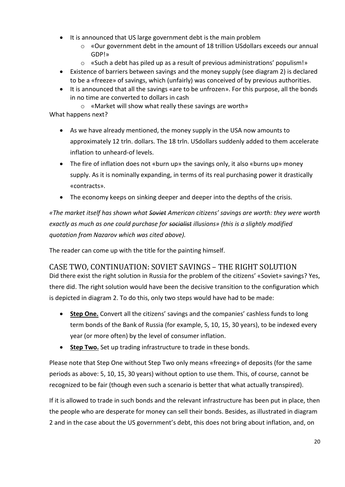- It is announced that US large government debt is the main problem
	- o «Our government debt in the amount of 18 trillion USdollars exceeds our annual GDP!»
	- $\circ$  «Such a debt has piled up as a result of previous administrations' populism!»
- Existence of barriers between savings and the money supply (see diagram 2) is declared to be a «freeze» of savings, which (unfairly) was conceived of by previous authorities.
- It is announced that all the savings «are to be unfrozen». For this purpose, all the bonds in no time are converted to dollars in cash

o «Market will show what really these savings are worth» What happens next?

- As we have already mentioned, the money supply in the USA now amounts to approximately 12 trln. dollars. The 18 trln. USdollars suddenly added to them accelerate inflation to unheard-of levels.
- The fire of inflation does not «burn up» the savings only, it also «burns up» money supply. As it is nominally expanding, in terms of its real purchasing power it drastically «contracts».
- The economy keeps on sinking deeper and deeper into the depths of the crisis.

*«The market itself has shown what Soviet American citizens' savings are worth: they were worth exactly as much as one could purchase for socialist illusions» (this is a slightly modified quotation from Nazarov which was cited above).*

The reader can come up with the title for the painting himself.

### <span id="page-20-0"></span>CASE TWO, CONTINUATION: SOVIET SAVINGS – THE RIGHT SOLUTION

Did there exist the right solution in Russia for the problem of the citizens' «Soviet» savings? Yes, there did. The right solution would have been the decisive transition to the configuration which is depicted in diagram 2. To do this, only two steps would have had to be made:

- **Step One.** Convert all the citizens' savings and the companies' cashless funds to long term bonds of the Bank of Russia (for example, 5, 10, 15, 30 years), to be indexed every year (or more often) by the level of consumer inflation.
- **Step Two.** Set up trading infrastructure to trade in these bonds.

Please note that Step One without Step Two only means «freezing» of deposits (for the same periods as above: 5, 10, 15, 30 years) without option to use them. This, of course, cannot be recognized to be fair (though even such a scenario is better that what actually transpired).

If it is allowed to trade in such bonds and the relevant infrastructure has been put in place, then the people who are desperate for money can sell their bonds. Besides, as illustrated in diagram 2 and in the case about the US government's debt, this does not bring about inflation, and, on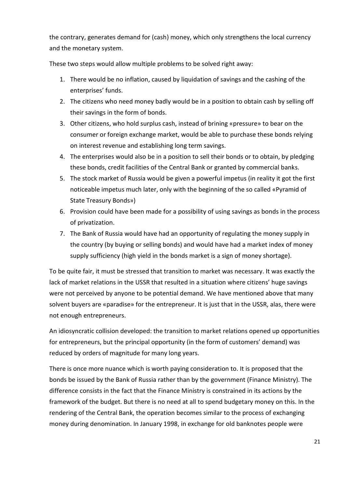the contrary, generates demand for (cash) money, which only strengthens the local currency and the monetary system.

These two steps would allow multiple problems to be solved right away:

- 1. There would be no inflation, caused by liquidation of savings and the cashing of the enterprises' funds.
- 2. The citizens who need money badly would be in a position to obtain cash by selling off their savings in the form of bonds.
- 3. Other citizens, who hold surplus cash, instead of brining «pressure» to bear on the consumer or foreign exchange market, would be able to purchase these bonds relying on interest revenue and establishing long term savings.
- 4. The enterprises would also be in a position to sell their bonds or to obtain, by pledging these bonds, credit facilities of the Central Bank or granted by commercial banks.
- 5. The stock market of Russia would be given a powerful impetus (in reality it got the first noticeable impetus much later, only with the beginning of the so called «Pyramid of State Treasury Bonds»)
- 6. Provision could have been made for a possibility of using savings as bonds in the process of privatization.
- 7. The Bank of Russia would have had an opportunity of regulating the money supply in the country (by buying or selling bonds) and would have had a market index of money supply sufficiency (high yield in the bonds market is a sign of money shortage).

To be quite fair, it must be stressed that transition to market was necessary. It was exactly the lack of market relations in the USSR that resulted in a situation where citizens' huge savings were not perceived by anyone to be potential demand. We have mentioned above that many solvent buyers are «paradise» for the entrepreneur. It is just that in the USSR, alas, there were not enough entrepreneurs.

An idiosyncratic collision developed: the transition to market relations opened up opportunities for entrepreneurs, but the principal opportunity (in the form of customers' demand) was reduced by orders of magnitude for many long years.

There is once more nuance which is worth paying consideration to. It is proposed that the bonds be issued by the Bank of Russia rather than by the government (Finance Ministry). The difference consists in the fact that the Finance Ministry is constrained in its actions by the framework of the budget. But there is no need at all to spend budgetary money on this. In the rendering of the Central Bank, the operation becomes similar to the process of exchanging money during denomination. In January 1998, in exchange for old banknotes people were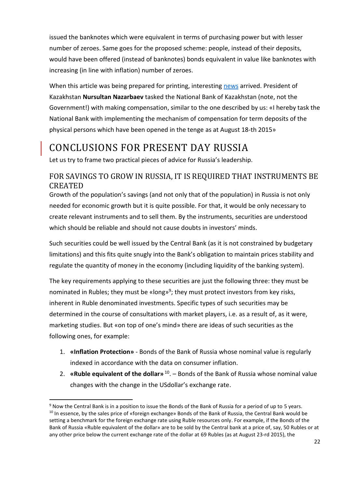issued the banknotes which were equivalent in terms of purchasing power but with lesser number of zeroes. Same goes for the proposed scheme: people, instead of their deposits, would have been offered (instead of banknotes) bonds equivalent in value like banknotes with increasing (in line with inflation) number of zeroes.

When this article was being prepared for printing, interesting [news](http://top.rbc.ru/finances/20/08/2015/55d5c7599a7947c0024dcae6) arrived. President of Kazakhstan **Nursultan Nazarbaev** tasked the National Bank of Kazakhstan (note, not the Government!) with making compensation, similar to the one described by us: «I hereby task the National Bank with implementing the mechanism of compensation for term deposits of the physical persons which have been opened in the tenge as at August 18-th 2015»

### <span id="page-22-0"></span>CONCLUSIONS FOR PRESENT DAY RUSSIA

Let us try to frame two practical pieces of advice for Russia's leadership.

### <span id="page-22-1"></span>FOR SAVINGS TO GROW IN RUSSIA, IT IS REQUIRED THAT INSTRUMENTS BE CREATED

Growth of the population's savings (and not only that of the population) in Russia is not only needed for economic growth but it is quite possible. For that, it would be only necessary to create relevant instruments and to sell them. By the instruments, securities are understood which should be reliable and should not cause doubts in investors' minds.

Such securities could be well issued by the Central Bank (as it is not constrained by budgetary limitations) and this fits quite snugly into the Bank's obligation to maintain prices stability and regulate the quantity of money in the economy (including liquidity of the banking system).

The key requirements applying to these securities are just the following three: they must be nominated in Rubles; they must be «long»<sup>9</sup>; they must protect investors from key risks, inherent in Ruble denominated investments. Specific types of such securities may be determined in the course of consultations with market players, i.е. as a result of, as it were, marketing studies. But «on top of one's mind» there are ideas of such securities as the following ones, for example:

- 1. **«Inflation Protection»** Bonds of the Bank of Russia whose nominal value is regularly indexed in accordance with the data on consumer inflation.
- 2. **«Ruble equivalent of the dollar»** 10 . Bonds of the Bank of Russia whose nominal value changes with the change in the USdollar's exchange rate.

<sup>&</sup>lt;sup>9</sup> Now the Central Bank is in a position to issue the Bonds of the Bank of Russia for a period of up to 5 years. <sup>10</sup> In essence, by the sales price of «foreign exchange» Bonds of the Bank of Russia, the Central Bank would be setting a benchmark for the foreign exchange rate using Ruble resources only. For example, if the Bonds of the Bank of Russia «Ruble equivalent of the dollar» are to be sold by the Central bank at a price of, say, 50 Rubles or at any other price below the current exchange rate of the dollar at 69 Rubles (as at August 23-rd 2015), the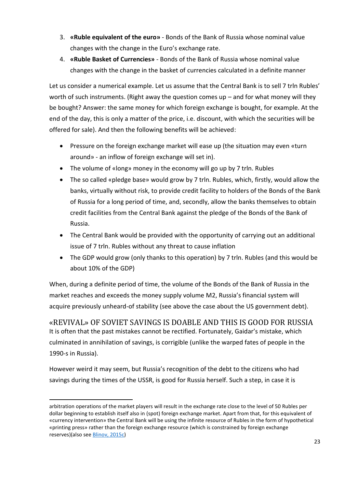- 3. **«Ruble equivalent of the euro»** Bonds of the Bank of Russia whose nominal value changes with the change in the Euro's exchange rate.
- 4. **«Ruble Basket of Currencies»** Bonds of the Bank of Russia whose nominal value changes with the change in the basket of currencies calculated in a definite manner

Let us consider a numerical example. Let us assume that the Central Bank is to sell 7 trln Rubles' worth of such instruments. (Right away the question comes up  $-$  and for what money will they be bought? Answer: the same money for which foreign exchange is bought, for example. At the end of the day, this is only a matter of the price, i.e. discount, with which the securities will be offered for sale). And then the following benefits will be achieved:

- Pressure on the foreign exchange market will ease up (the situation may even «turn around» - an inflow of foreign exchange will set in).
- The volume of «long» money in the economy will go up by 7 trln. Rubles
- The so called «pledge base» would grow by 7 trln. Rubles, which, firstly, would allow the banks, virtually without risk, to provide credit facility to holders of the Bonds of the Bank of Russia for a long period of time, and, secondly, allow the banks themselves to obtain credit facilities from the Central Bank against the pledge of the Bonds of the Bank of Russia.
- The Central Bank would be provided with the opportunity of carrying out an additional issue of 7 trln. Rubles without any threat to cause inflation
- The GDP would grow (only thanks to this operation) by 7 trln. Rubles (and this would be about 10% of the GDP)

When, during a definite period of time, the volume of the Bonds of the Bank of Russia in the market reaches and exceeds the money supply volume М2, Russia's financial system will acquire previously unheard-of stability (see above the case about the US government debt).

<span id="page-23-0"></span>«REVIVAL» OF SOVIET SAVINGS IS DOABLE AND THIS IS GOOD FOR RUSSIA It is often that the past mistakes cannot be rectified. Fortunately, Gaidar's mistake, which culminated in annihilation of savings, is corrigible (unlike the warped fates of people in the 1990-s in Russia).

However weird it may seem, but Russia's recognition of the debt to the citizens who had savings during the times of the USSR, is good for Russia herself. Such a step, in case it is

arbitration operations of the market players will result in the exchange rate close to the level of 50 Rubles per dollar beginning to establish itself also in (spot) foreign exchange market. Apart from that, for this equivalent of «currency intervention» the Central Bank will be using the infinite resource of Rubles in the form of hypothetical «printing press» rather than the foreign exchange resource (which is constrained by foreign exchange reserves)(also see [Blinov, 2](http://expert.ru/2015/01/15/sekretyi-stabilnogo-kursa-rublya/)015с)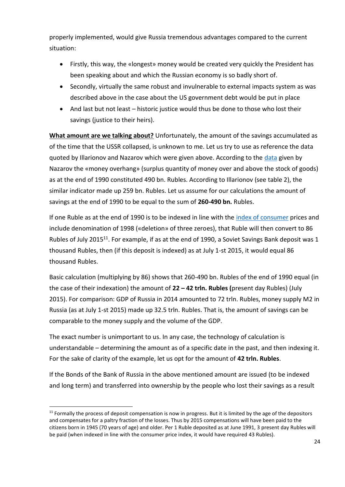properly implemented, would give Russia tremendous advantages compared to the current situation:

- Firstly, this way, the «longest» money would be created very quickly the President has been speaking about and which the Russian economy is so badly short of.
- Secondly, virtually the same robust and invulnerable to external impacts system as was described above in the case about the US government debt would be put in place
- And last but not least historic justice would thus be done to those who lost their savings (justice to their heirs).

**What amount are we talking about?** Unfortunately, the amount of the savings accumulated as of the time that the USSR collapsed, is unknown to me. Let us try to use as reference the data quoted by Illarionov and Nazarov which were given above. According to the [data](http://www.forbes.ru/sites/default/files/Tablica_vklady.doc) given by Nazarov the «money overhang» (surplus quantity of money over and above the stock of goods) as at the end of 1990 constituted 490 bn. Rubles. According to Illarionov (see table 2), the similar indicator made up 259 bn. Rubles. Let us assume for our calculations the amount of savings at the end of 1990 to be equal to the sum of **260-490 bn.** Rubles.

If one Ruble as at the end of 1990 is to be indexed in line with the [index of consumer](http://www.gks.ru/free_doc/new_site/prices/potr/tab-potr1.htm) prices and include denomination of 1998 («deletion» of three zeroes), that Ruble will then convert to 86 Rubles of July 2015<sup>11</sup>. For example, if as at the end of 1990, a Soviet Savings Bank deposit was 1 thousand Rubles, then (if this deposit is indexed) as at July 1-st 2015, it would equal 86 thousand Rubles.

Basic calculation (multiplying by 86) shows that 260-490 bn. Rubles of the end of 1990 equal (in the case of their indexation) the amount of **22 – 42 trln. Rubles (**present day Rubles) (July 2015). For comparison: GDP of Russia in 2014 amounted to 72 trln. Rubles, money supply М2 in Russia (as at July 1-st 2015) made up 32.5 trln. Rubles. That is, the amount of savings can be comparable to the money supply and the volume of the GDP.

The exact number is unimportant to us. In any case, the technology of calculation is understandable – determining the amount as of a specific date in the past, and then indexing it. For the sake of clarity of the example, let us opt for the amount of **42 trln. Rubles**.

If the Bonds of the Bank of Russia in the above mentioned amount are issued (to be indexed and long term) and transferred into ownership by the people who lost their savings as a result

 $11$  Formally the process of deposit compensation is now in progress. But it is limited by the age of the depositors and compensates for a paltry fraction of the losses. Thus by 2015 compensations will have been paid to the citizens born in 1945 (70 years of age) and older. Per 1 Ruble deposited as at June 1991, 3 present day Rubles will be paid (when indexed in line with the consumer price index, it would have required 43 Rubles).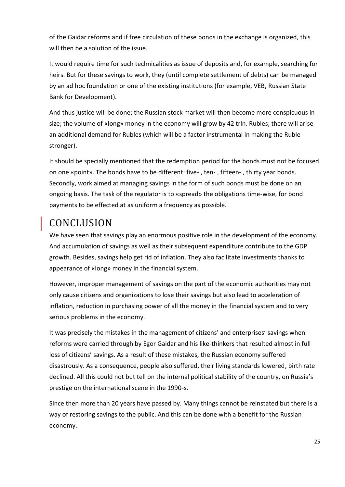of the Gaidar reforms and if free circulation of these bonds in the exchange is organized, this will then be a solution of the issue.

It would require time for such technicalities as issue of deposits and, for example, searching for heirs. But for these savings to work, they (until complete settlement of debts) can be managed by an ad hoc foundation or one of the existing institutions (for example, VEB, Russian State Bank for Development).

And thus justice will be done; the Russian stock market will then become more conspicuous in size; the volume of «long» money in the economy will grow by 42 trln. Rubles; there will arise an additional demand for Rubles (which will be a factor instrumental in making the Ruble stronger).

It should be specially mentioned that the redemption period for the bonds must not be focused on one «point». The bonds have to be different: five- , ten- , fifteen- , thirty year bonds. Secondly, work aimed at managing savings in the form of such bonds must be done on an ongoing basis. The task of the regulator is to «spread» the obligations time-wise, for bond payments to be effected at as uniform a frequency as possible.

# <span id="page-25-0"></span>CONCLUSION

We have seen that savings play an enormous positive role in the development of the economy. And accumulation of savings as well as their subsequent expenditure contribute to the GDP growth. Besides, savings help get rid of inflation. They also facilitate investments thanks to appearance of «long» money in the financial system.

However, improper management of savings on the part of the economic authorities may not only cause citizens and organizations to lose their savings but also lead to acceleration of inflation, reduction in purchasing power of all the money in the financial system and to very serious problems in the economy.

It was precisely the mistakes in the management of citizens' and enterprises' savings when reforms were carried through by Egor Gaidar and his like-thinkers that resulted almost in full loss of citizens' savings. As a result of these mistakes, the Russian economy suffered disastrously. As a consequence, people also suffered, their living standards lowered, birth rate declined. All this could not but tell on the internal political stability of the country, on Russia's prestige on the international scene in the 1990-s.

Since then more than 20 years have passed by. Many things cannot be reinstated but there is a way of restoring savings to the public. And this can be done with a benefit for the Russian economy.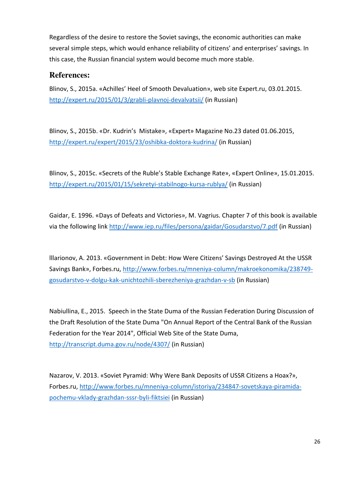Regardless of the desire to restore the Soviet savings, the economic authorities can make several simple steps, which would enhance reliability of citizens' and enterprises' savings. In this case, the Russian financial system would become much more stable.

### **References:**

Blinov, S., 2015a. «Achilles' Heel of Smooth Devaluation», web site Expert.ru, 03.01.2015. <http://expert.ru/2015/01/3/grabli-plavnoj-devalvatsii/>(in Russian)

Blinov, S., 2015b. «Dr. Kudrin's Mistake», «Expert» Magazine No.23 dated 01.06.2015, <http://expert.ru/expert/2015/23/oshibka-doktora-kudrina/>(in Russian)

Blinov, S., 2015c. «Secrets of the Ruble's Stable Exchange Rate», «Expert Online», 15.01.2015. <http://expert.ru/2015/01/15/sekretyi-stabilnogo-kursa-rublya/>(in Russian)

Gaidar, Е. 1996. «Days of Defeats and Victories», М. Vagrius. Chapter 7 of this book is available via the following link<http://www.iep.ru/files/persona/gaidar/Gosudarstvo/7.pdf>(in Russian)

lllarionov, А. 2013. «Government in Debt: How Were Citizens' Savings Destroyed At the USSR Savings Bank», Forbes.ru, [http://www.forbes.ru/mneniya-column/makroekonomika/238749](http://www.forbes.ru/mneniya-column/makroekonomika/238749-gosudarstvo-v-dolgu-kak-unichtozhili-sberezheniya-grazhdan-v-sb) [gosudarstvo-v-dolgu-kak-unichtozhili-sberezheniya-grazhdan-v-sb](http://www.forbes.ru/mneniya-column/makroekonomika/238749-gosudarstvo-v-dolgu-kak-unichtozhili-sberezheniya-grazhdan-v-sb) (in Russian)

Nabiullina, E., 2015. Speech in the State Duma of the Russian Federation During Discussion of the Draft Resolution of the State Duma "On Annual Report of the Central Bank of the Russian Federation for the Year 2014", Official Web Site of the State Duma, <http://transcript.duma.gov.ru/node/4307/>(in Russian)

Nazarov, V. 2013. «Soviet Pyramid: Why Were Bank Deposits of USSR Citizens a Hoax?», Forbes.ru, [http://www.forbes.ru/mneniya-column/istoriya/234847-sovetskaya-piramida](http://www.forbes.ru/mneniya-column/istoriya/234847-sovetskaya-piramida-pochemu-vklady-grazhdan-sssr-byli-fiktsiei)[pochemu-vklady-grazhdan-sssr-byli-fiktsiei](http://www.forbes.ru/mneniya-column/istoriya/234847-sovetskaya-piramida-pochemu-vklady-grazhdan-sssr-byli-fiktsiei) (in Russian)